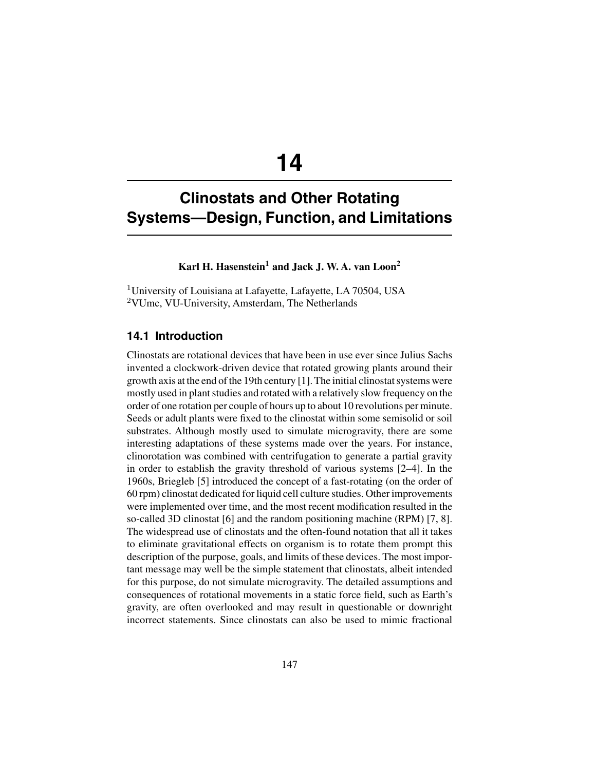# **14**

## **Clinostats and Other Rotating Systems—Design, Function, and Limitations**

## Karl H. Hasenstein<sup>1</sup> and Jack J. W. A. van Loon<sup>2</sup>

<sup>1</sup>University of Louisiana at Lafayette, Lafayette, LA 70504, USA <sup>2</sup>VUmc, VU-University, Amsterdam, The Netherlands

## **14.1 Introduction**

Clinostats are rotational devices that have been in use ever since Julius Sachs invented a clockwork-driven device that rotated growing plants around their growth axis at the end of the 19th century [1]. The initial clinostat systems were mostly used in plant studies and rotated with a relatively slow frequency on the order of one rotation per couple of hours up to about 10 revolutions per minute. Seeds or adult plants were fixed to the clinostat within some semisolid or soil substrates. Although mostly used to simulate microgravity, there are some interesting adaptations of these systems made over the years. For instance, clinorotation was combined with centrifugation to generate a partial gravity in order to establish the gravity threshold of various systems [2–4]. In the 1960s, Briegleb [5] introduced the concept of a fast-rotating (on the order of 60 rpm) clinostat dedicated for liquid cell culture studies. Other improvements were implemented over time, and the most recent modification resulted in the so-called 3D clinostat [6] and the random positioning machine (RPM) [7, 8]. The widespread use of clinostats and the often-found notation that all it takes to eliminate gravitational effects on organism is to rotate them prompt this description of the purpose, goals, and limits of these devices. The most important message may well be the simple statement that clinostats, albeit intended for this purpose, do not simulate microgravity. The detailed assumptions and consequences of rotational movements in a static force field, such as Earth's gravity, are often overlooked and may result in questionable or downright incorrect statements. Since clinostats can also be used to mimic fractional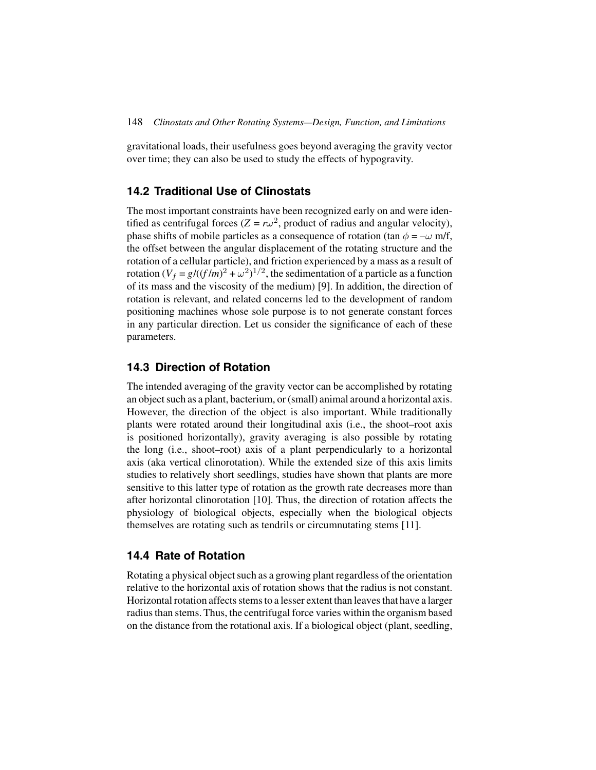gravitational loads, their usefulness goes beyond averaging the gravity vector over time; they can also be used to study the effects of hypogravity.

## **14.2 Traditional Use of Clinostats**

The most important constraints have been recognized early on and were identified as centrifugal forces ( $Z = r\omega^2$ , product of radius and angular velocity), phase shifts of mobile particles as a consequence of rotation (tan  $\phi = -\omega$  m/f, the offset between the angular displacement of the rotating structure and the rotation of a cellular particle), and friction experienced by a mass as a result of rotation  $(V_f = g/((f/m)^2 + \omega^2)^{1/2}$ , the sedimentation of a particle as a function of its mass and the viscosity of the medium) [9]. In addition, the direction of rotation is relevant, and related concerns led to the development of random positioning machines whose sole purpose is to not generate constant forces in any particular direction. Let us consider the significance of each of these parameters.

## **14.3 Direction of Rotation**

The intended averaging of the gravity vector can be accomplished by rotating an object such as a plant, bacterium, or (small) animal around a horizontal axis. However, the direction of the object is also important. While traditionally plants were rotated around their longitudinal axis (i.e., the shoot–root axis is positioned horizontally), gravity averaging is also possible by rotating the long (i.e., shoot–root) axis of a plant perpendicularly to a horizontal axis (aka vertical clinorotation). While the extended size of this axis limits studies to relatively short seedlings, studies have shown that plants are more sensitive to this latter type of rotation as the growth rate decreases more than after horizontal clinorotation [10]. Thus, the direction of rotation affects the physiology of biological objects, especially when the biological objects themselves are rotating such as tendrils or circumnutating stems [11].

## **14.4 Rate of Rotation**

Rotating a physical object such as a growing plant regardless of the orientation relative to the horizontal axis of rotation shows that the radius is not constant. Horizontal rotation affects stems to a lesser extent than leaves that have a larger radius than stems. Thus, the centrifugal force varies within the organism based on the distance from the rotational axis. If a biological object (plant, seedling,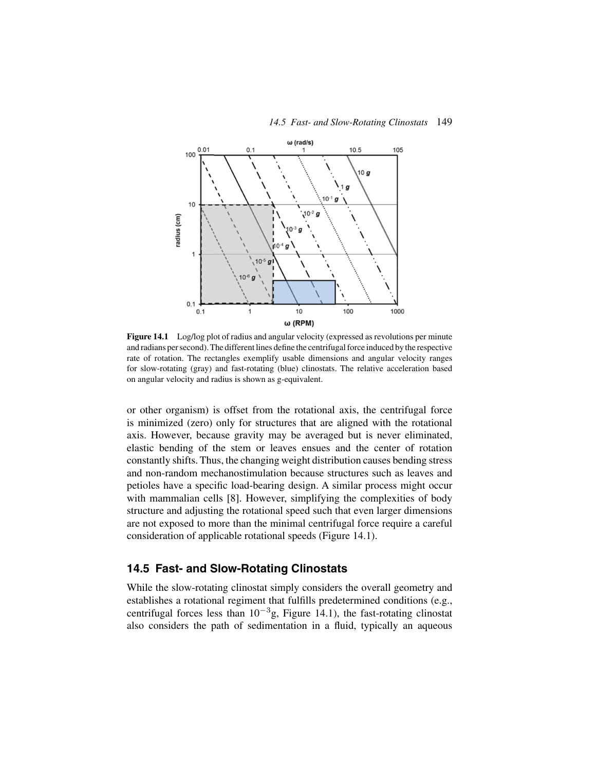



Figure 14.1 Log/log plot of radius and angular velocity (expressed as revolutions per minute and radians per second). The different lines define the centrifugal force induced by the respective rate of rotation. The rectangles exemplify usable dimensions and angular velocity ranges for slow-rotating (gray) and fast-rotating (blue) clinostats. The relative acceleration based on angular velocity and radius is shown as g-equivalent.

or other organism) is offset from the rotational axis, the centrifugal force is minimized (zero) only for structures that are aligned with the rotational axis. However, because gravity may be averaged but is never eliminated, elastic bending of the stem or leaves ensues and the center of rotation constantly shifts. Thus, the changing weight distribution causes bending stress and non-random mechanostimulation because structures such as leaves and petioles have a specific load-bearing design. A similar process might occur with mammalian cells [8]. However, simplifying the complexities of body structure and adjusting the rotational speed such that even larger dimensions are not exposed to more than the minimal centrifugal force require a careful consideration of applicable rotational speeds (Figure 14.1).

## **14.5 Fast- and Slow-Rotating Clinostats**

While the slow-rotating clinostat simply considers the overall geometry and establishes a rotational regiment that fulfills predetermined conditions (e.g., centrifugal forces less than  $10^{-3}$ g, Figure 14.1), the fast-rotating clinostat also considers the path of sedimentation in a fluid, typically an aqueous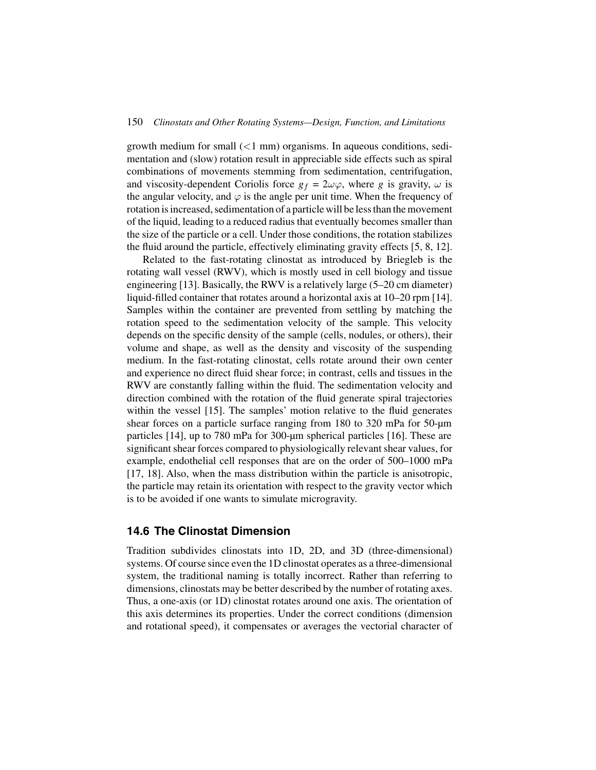#### 150 *Clinostats and Other Rotating Systems—Design, Function, and Limitations*

growth medium for small  $(<1$  mm) organisms. In aqueous conditions, sedimentation and (slow) rotation result in appreciable side effects such as spiral combinations of movements stemming from sedimentation, centrifugation, and viscosity-dependent Coriolis force  $g_f = 2\omega\varphi$ , where *g* is gravity,  $\omega$  is the angular velocity, and  $\varphi$  is the angle per unit time. When the frequency of rotation is increased, sedimentation of a particle will be less than the movement of the liquid, leading to a reduced radius that eventually becomes smaller than the size of the particle or a cell. Under those conditions, the rotation stabilizes the fluid around the particle, effectively eliminating gravity effects [5, 8, 12].

Related to the fast-rotating clinostat as introduced by Briegleb is the rotating wall vessel (RWV), which is mostly used in cell biology and tissue engineering [13]. Basically, the RWV is a relatively large (5–20 cm diameter) liquid-filled container that rotates around a horizontal axis at 10–20 rpm [14]. Samples within the container are prevented from settling by matching the rotation speed to the sedimentation velocity of the sample. This velocity depends on the specific density of the sample (cells, nodules, or others), their volume and shape, as well as the density and viscosity of the suspending medium. In the fast-rotating clinostat, cells rotate around their own center and experience no direct fluid shear force; in contrast, cells and tissues in the RWV are constantly falling within the fluid. The sedimentation velocity and direction combined with the rotation of the fluid generate spiral trajectories within the vessel [15]. The samples' motion relative to the fluid generates shear forces on a particle surface ranging from 180 to 320 mPa for 50-µm particles [14], up to 780 mPa for 300-µm spherical particles [16]. These are significant shear forces compared to physiologically relevant shear values, for example, endothelial cell responses that are on the order of 500–1000 mPa [17, 18]. Also, when the mass distribution within the particle is anisotropic, the particle may retain its orientation with respect to the gravity vector which is to be avoided if one wants to simulate microgravity.

## **14.6 The Clinostat Dimension**

Tradition subdivides clinostats into 1D, 2D, and 3D (three-dimensional) systems. Of course since even the 1D clinostat operates as a three-dimensional system, the traditional naming is totally incorrect. Rather than referring to dimensions, clinostats may be better described by the number of rotating axes. Thus, a one-axis (or 1D) clinostat rotates around one axis. The orientation of this axis determines its properties. Under the correct conditions (dimension and rotational speed), it compensates or averages the vectorial character of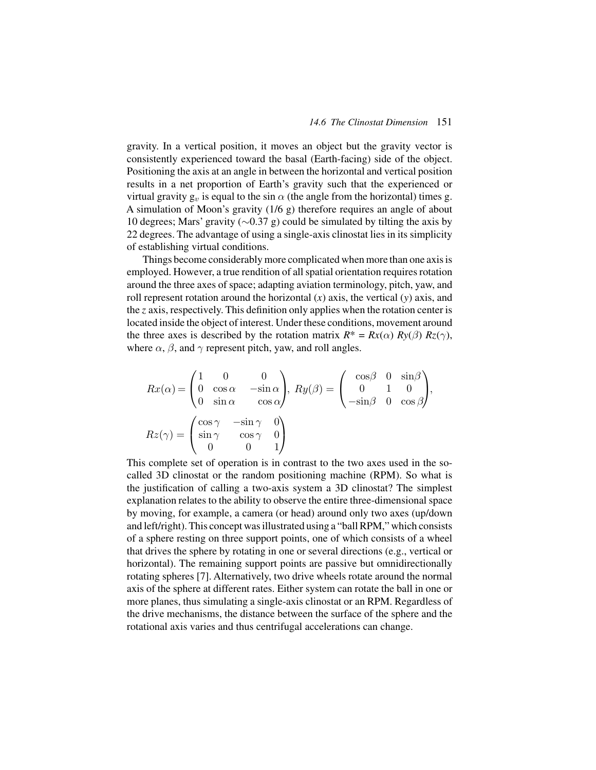gravity. In a vertical position, it moves an object but the gravity vector is consistently experienced toward the basal (Earth-facing) side of the object. Positioning the axis at an angle in between the horizontal and vertical position results in a net proportion of Earth's gravity such that the experienced or virtual gravity  $g_v$  is equal to the sin  $\alpha$  (the angle from the horizontal) times g. A simulation of Moon's gravity (1/6 g) therefore requires an angle of about 10 degrees; Mars' gravity (∼0.37 g) could be simulated by tilting the axis by 22 degrees. The advantage of using a single-axis clinostat lies in its simplicity of establishing virtual conditions.

Things become considerably more complicated when more than one axis is employed. However, a true rendition of all spatial orientation requires rotation around the three axes of space; adapting aviation terminology, pitch, yaw, and roll represent rotation around the horizontal (*x*) axis, the vertical (*y*) axis, and the *z* axis, respectively. This definition only applies when the rotation center is located inside the object of interest. Under these conditions, movement around the three axes is described by the rotation matrix  $R^* = Rx(\alpha) Ry(\beta) Rz(\gamma)$ , where  $\alpha$ ,  $\beta$ , and  $\gamma$  represent pitch, yaw, and roll angles.

$$
Rx(\alpha) = \begin{pmatrix} 1 & 0 & 0 \\ 0 & \cos \alpha & -\sin \alpha \\ 0 & \sin \alpha & \cos \alpha \end{pmatrix}, \ Ry(\beta) = \begin{pmatrix} \cos \beta & 0 & \sin \beta \\ 0 & 1 & 0 \\ -\sin \beta & 0 & \cos \beta \end{pmatrix},
$$

$$
Rz(\gamma) = \begin{pmatrix} \cos \gamma & -\sin \gamma & 0 \\ \sin \gamma & \cos \gamma & 0 \\ 0 & 0 & 1 \end{pmatrix}
$$

This complete set of operation is in contrast to the two axes used in the socalled 3D clinostat or the random positioning machine (RPM). So what is the justification of calling a two-axis system a 3D clinostat? The simplest explanation relates to the ability to observe the entire three-dimensional space by moving, for example, a camera (or head) around only two axes (up/down and left/right). This concept was illustrated using a "ball RPM," which consists of a sphere resting on three support points, one of which consists of a wheel that drives the sphere by rotating in one or several directions (e.g., vertical or horizontal). The remaining support points are passive but omnidirectionally rotating spheres [7]. Alternatively, two drive wheels rotate around the normal axis of the sphere at different rates. Either system can rotate the ball in one or more planes, thus simulating a single-axis clinostat or an RPM. Regardless of the drive mechanisms, the distance between the surface of the sphere and the rotational axis varies and thus centrifugal accelerations can change.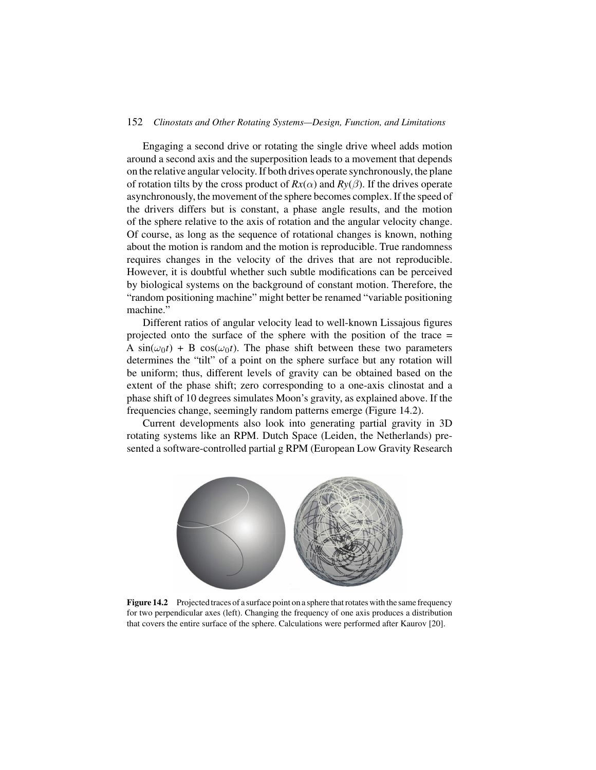#### 152 *Clinostats and Other Rotating Systems—Design, Function, and Limitations*

Engaging a second drive or rotating the single drive wheel adds motion around a second axis and the superposition leads to a movement that depends on the relative angular velocity. If both drives operate synchronously, the plane of rotation tilts by the cross product of  $Rx(\alpha)$  and  $Ry(\beta)$ . If the drives operate asynchronously, the movement of the sphere becomes complex. If the speed of the drivers differs but is constant, a phase angle results, and the motion of the sphere relative to the axis of rotation and the angular velocity change. Of course, as long as the sequence of rotational changes is known, nothing about the motion is random and the motion is reproducible. True randomness requires changes in the velocity of the drives that are not reproducible. However, it is doubtful whether such subtle modifications can be perceived by biological systems on the background of constant motion. Therefore, the "random positioning machine" might better be renamed "variable positioning machine."

Different ratios of angular velocity lead to well-known Lissajous figures projected onto the surface of the sphere with the position of the trace = A  $sin(\omega_0 t)$  + B  $cos(\omega_0 t)$ . The phase shift between these two parameters determines the "tilt" of a point on the sphere surface but any rotation will be uniform; thus, different levels of gravity can be obtained based on the extent of the phase shift; zero corresponding to a one-axis clinostat and a phase shift of 10 degrees simulates Moon's gravity, as explained above. If the frequencies change, seemingly random patterns emerge (Figure 14.2).

Current developments also look into generating partial gravity in 3D rotating systems like an RPM. Dutch Space (Leiden, the Netherlands) presented a software-controlled partial g RPM (European Low Gravity Research



**Figure 14.2** Projected traces of a surface point on a sphere that rotates with the same frequency for two perpendicular axes (left). Changing the frequency of one axis produces a distribution that covers the entire surface of the sphere. Calculations were performed after Kaurov [20].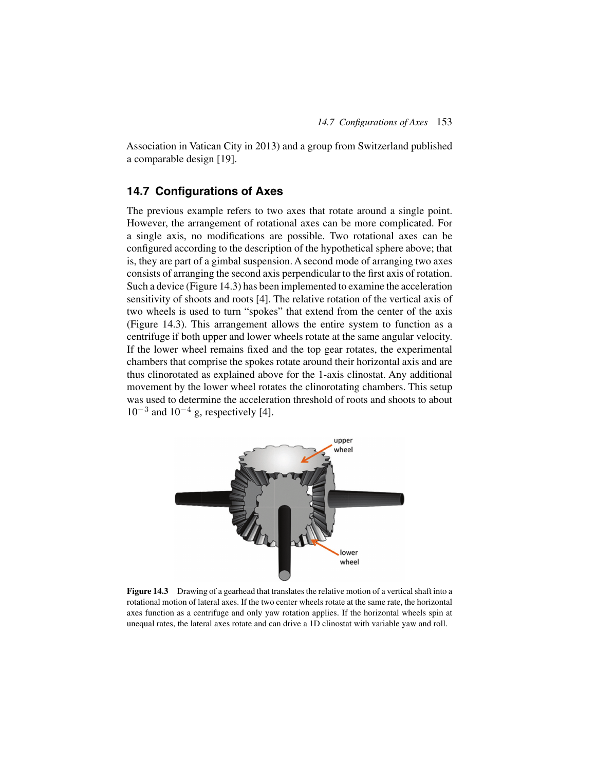Association in Vatican City in 2013) and a group from Switzerland published a comparable design [19].

## **14.7 Configurations of Axes**

The previous example refers to two axes that rotate around a single point. However, the arrangement of rotational axes can be more complicated. For a single axis, no modifications are possible. Two rotational axes can be configured according to the description of the hypothetical sphere above; that is, they are part of a gimbal suspension. A second mode of arranging two axes consists of arranging the second axis perpendicular to the first axis of rotation. Such a device (Figure 14.3) has been implemented to examine the acceleration sensitivity of shoots and roots [4]. The relative rotation of the vertical axis of two wheels is used to turn "spokes" that extend from the center of the axis (Figure 14.3). This arrangement allows the entire system to function as a centrifuge if both upper and lower wheels rotate at the same angular velocity. If the lower wheel remains fixed and the top gear rotates, the experimental chambers that comprise the spokes rotate around their horizontal axis and are thus clinorotated as explained above for the 1-axis clinostat. Any additional movement by the lower wheel rotates the clinorotating chambers. This setup was used to determine the acceleration threshold of roots and shoots to about  $10^{-3}$  and  $10^{-4}$  g, respectively [4].



**Figure 14.3** Drawing of a gearhead that translates the relative motion of a vertical shaft into a rotational motion of lateral axes. If the two center wheels rotate at the same rate, the horizontal axes function as a centrifuge and only yaw rotation applies. If the horizontal wheels spin at unequal rates, the lateral axes rotate and can drive a 1D clinostat with variable yaw and roll.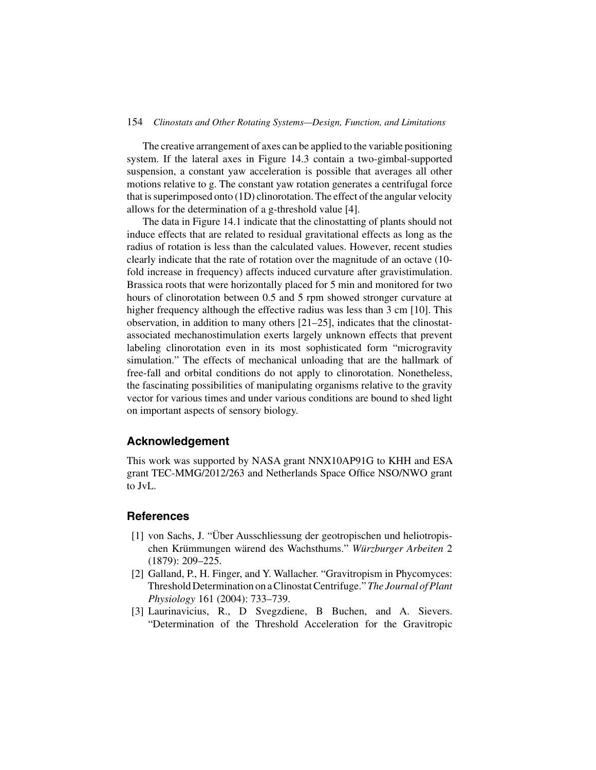#### 154 *Clinostats and Other Rotating Systems—Design, Function, and Limitations*

The creative arrangement of axes can be applied to the variable positioning system. If the lateral axes in Figure 14.3 contain a two-gimbal-supported suspension, a constant yaw acceleration is possible that averages all other motions relative to g. The constant yaw rotation generates a centrifugal force that is superimposed onto (1D) clinorotation. The effect of the angular velocity allows for the determination of a g-threshold value [4].

The data in Figure 14.1 indicate that the clinostatting of plants should not induce effects that are related to residual gravitational effects as long as the radius of rotation is less than the calculated values. However, recent studies clearly indicate that the rate of rotation over the magnitude of an octave (10 fold increase in frequency) affects induced curvature after gravistimulation. Brassica roots that were horizontally placed for 5 min and monitored for two hours of clinorotation between 0.5 and 5 rpm showed stronger curvature at higher frequency although the effective radius was less than 3 cm [10]. This observation, in addition to many others [21–25], indicates that the clinostatassociated mechanostimulation exerts largely unknown effects that prevent labeling clinorotation even in its most sophisticated form "microgravity simulation." The effects of mechanical unloading that are the hallmark of free-fall and orbital conditions do not apply to clinorotation. Nonetheless, the fascinating possibilities of manipulating organisms relative to the gravity vector for various times and under various conditions are bound to shed light on important aspects of sensory biology.

## **Acknowledgement**

This work was supported by NASA grant NNX10AP91G to KHH and ESA grant TEC-MMG/2012/263 and Netherlands Space Office NSO/NWO grant to JvL.

### **References**

- [1] von Sachs, J. "Über Ausschliessung der geotropischen und heliotropischen Krümmungen wärend des Wachsthums." *Würzburger Arbeiten* 2 (1879): 209–225.
- [2] Galland, P., H. Finger, and Y. Wallacher. "Gravitropism in Phycomyces: Threshold Determination on a Clinostat Centrifuge." *The Journal of Plant Physiology* 161 (2004): 733–739.
- [3] Laurinavicius, R., D Svegzdiene, B Buchen, and A. Sievers. "Determination of the Threshold Acceleration for the Gravitropic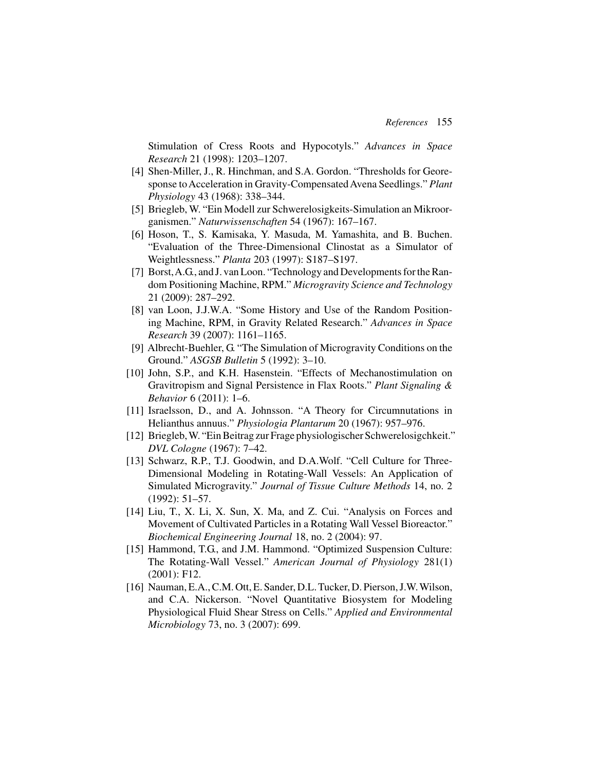Stimulation of Cress Roots and Hypocotyls." *Advances in Space Research* 21 (1998): 1203–1207.

- [4] Shen-Miller, J., R. Hinchman, and S.A. Gordon. "Thresholds for Georesponse to Acceleration in Gravity-Compensated Avena Seedlings." *Plant Physiology* 43 (1968): 338–344.
- [5] Briegleb, W. "Ein Modell zur Schwerelosigkeits-Simulation an Mikroorganismen." *Naturwissenschaften* 54 (1967): 167–167.
- [6] Hoson, T., S. Kamisaka, Y. Masuda, M. Yamashita, and B. Buchen. "Evaluation of the Three-Dimensional Clinostat as a Simulator of Weightlessness." *Planta* 203 (1997): S187–S197.
- [7] Borst, A.G., and J. van Loon. "Technology and Developments for the Random Positioning Machine, RPM." *Microgravity Science and Technology* 21 (2009): 287–292.
- [8] van Loon, J.J.W.A. "Some History and Use of the Random Positioning Machine, RPM, in Gravity Related Research." *Advances in Space Research* 39 (2007): 1161–1165.
- [9] Albrecht-Buehler, G. "The Simulation of Microgravity Conditions on the Ground." *ASGSB Bulletin* 5 (1992): 3–10.
- [10] John, S.P., and K.H. Hasenstein. "Effects of Mechanostimulation on Gravitropism and Signal Persistence in Flax Roots." *Plant Signaling & Behavior* 6 (2011): 1–6.
- [11] Israelsson, D., and A. Johnsson. "A Theory for Circumnutations in Helianthus annuus." *Physiologia Plantarum* 20 (1967): 957–976.
- [12] Briegleb,W. "Ein Beitrag zur Frage physiologischer Schwerelosigchkeit." *DVL Cologne* (1967): 7–42.
- [13] Schwarz, R.P., T.J. Goodwin, and D.A.Wolf. "Cell Culture for Three-Dimensional Modeling in Rotating-Wall Vessels: An Application of Simulated Microgravity." *Journal of Tissue Culture Methods* 14, no. 2 (1992): 51–57.
- [14] Liu, T., X. Li, X. Sun, X. Ma, and Z. Cui. "Analysis on Forces and Movement of Cultivated Particles in a Rotating Wall Vessel Bioreactor." *Biochemical Engineering Journal* 18, no. 2 (2004): 97.
- [15] Hammond, T.G., and J.M. Hammond. "Optimized Suspension Culture: The Rotating-Wall Vessel." *American Journal of Physiology* 281(1) (2001): F12.
- [16] Nauman, E.A., C.M. Ott, E. Sander, D.L. Tucker, D. Pierson, J.W.Wilson, and C.A. Nickerson. "Novel Quantitative Biosystem for Modeling Physiological Fluid Shear Stress on Cells." *Applied and Environmental Microbiology* 73, no. 3 (2007): 699.